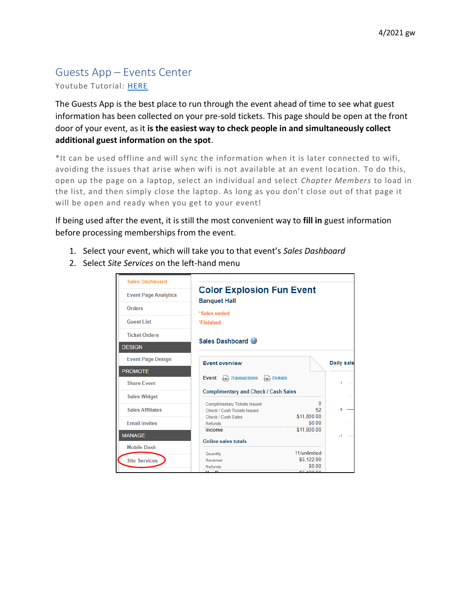## Guests App – Events Center

Youtube Tutorial: [HERE](https://youtu.be/vnzCJat7Dy0)

The Guests App is the best place to run through the event ahead of time to see what guest information has been collected on your pre-sold tickets. This page should be open at the front door of your event, as it **is the easiest way to check people in and simultaneously collect additional guest information on the spot**.

\*It can be used offline and will sync the information when it is later connected to wifi, avoiding the issues that arise when wifi is not available at an event location. To do this, open up the page on a laptop, select an individual and select *Chapter Members* to load in the list, and then simply close the laptop. As long as you don't close out of that page it will be open and ready when you get to your event!

If being used after the event, it is still the most convenient way to **fill in** guest information before processing memberships from the event.

- 1. Select your event, which will take you to that event's *Sales Dashboard*
- 2. Select *Site Services* on the left-hand menu

| <b>Sales Dashboard</b>      |                                                                    |                       |            |
|-----------------------------|--------------------------------------------------------------------|-----------------------|------------|
| <b>Event Page Analytics</b> | <b>Color Explosion Fun Event</b><br><b>Banquet Hall</b>            |                       |            |
| <b>Orders</b>               |                                                                    |                       |            |
| <b>Guest List</b>           | *Sales ended<br>*Finished                                          |                       |            |
| <b>Ticket Orders</b>        |                                                                    |                       |            |
| <b>DESIGN</b>               | Sales Dashboard                                                    |                       |            |
| <b>Event Page Design</b>    | <b>Event overview</b>                                              |                       | Daily sale |
| <b>PROMOTE</b>              |                                                                    |                       |            |
| <b>Share Event</b>          | Event: Est Transactions Est Tickets                                |                       |            |
| <b>Sales Widget</b>         | <b>Complimentary and Check / Cash Sales</b>                        |                       |            |
| <b>Sales Affiliates</b>     | <b>Complimentary Tickets Issued</b><br>Check / Cash Tickets Issued | n<br>52               | n          |
| <b>Fmail Invites</b>        | Check / Cash Sales<br>Refunds                                      | \$11,800.00<br>\$0.00 |            |
|                             | Income                                                             | \$11,800.00           |            |
| <b>MANAGE</b>               | Online sales totals                                                |                       | $-1$       |
| <b>Mobile Dash</b>          |                                                                    |                       |            |
|                             | Quantity                                                           | 11/unlimited          |            |
| <b>Site Services</b>        | Revenue<br>Refunds                                                 | \$5,122.90<br>\$000   |            |
|                             | <b>Not Dovonu</b>                                                  | <b>CE 133.00</b>      |            |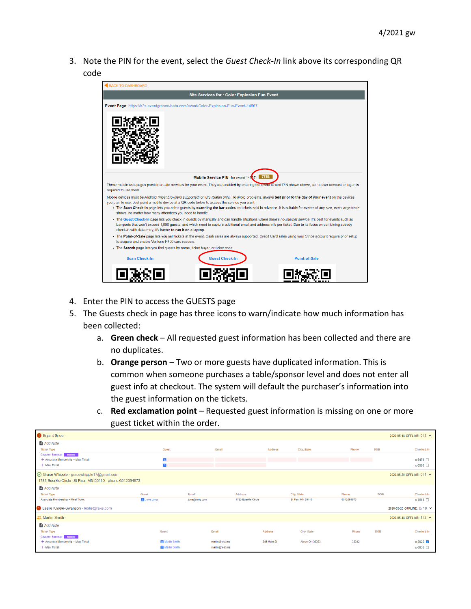3. Note the PIN for the event, select the *Guest Check-In* link above its corresponding QR code



- 4. Enter the PIN to access the GUESTS page
- 5. The Guests check in page has three icons to warn/indicate how much information has been collected:
	- a. **Green check** All requested guest information has been collected and there are no duplicates.
	- b. **Orange person** Two or more guests have duplicated information. This is common when someone purchases a table/sponsor level and does not enter all guest info at checkout. The system will default the purchaser's information into the guest information on the tickets.
	- c. **Red exclamation point** Requested guest information is missing on one or more guest ticket within the order.

| Bryant Snee -                                                                                        |                     |                |                     |                                      |            |            | 2020-05-18 OFFLINE: 0/2 ^  |
|------------------------------------------------------------------------------------------------------|---------------------|----------------|---------------------|--------------------------------------|------------|------------|----------------------------|
| Add Note                                                                                             |                     |                |                     |                                      |            |            |                            |
| <b>Ticket Type</b>                                                                                   | Guest               | Email          |                     | City, State<br><b>Address</b>        | Phone      | <b>DOB</b> | Checked-In                 |
| <b>Chapter Sponsor</b> Bundle<br>+ Associate Membership + Meal Ticket                                | в                   |                |                     |                                      |            |            | $x-9479$                   |
| + Meal Ticket                                                                                        | Β                   |                |                     |                                      |            |            | $x-0580$                   |
| ◯ Grace Whipple - gracewhipple17@gmail.com<br>1783 Buerkle Circle St Paul, MN 55110 phone:6512094973 |                     |                |                     |                                      |            |            | 2020-05-20 OFFLINE: 0/1 ^  |
| Add Note                                                                                             |                     |                |                     |                                      |            |            |                            |
| <b>Ticket Type</b>                                                                                   | Guest               | Email          | <b>Address</b>      | City, State                          | Phone      | <b>DOB</b> | Checked-In                 |
| Associate Membership + Meal Ticket                                                                   | <b>El</b> June Long | june@long.com  | 1783 Buerkle Circle | St Paul MN 55110                     | 6512094973 |            | x-3883 □                   |
| Leslie Knope-Swanson - leslie@fake.com                                                               |                     |                |                     |                                      |            |            | 2020-05-20 OFFLINE: 0/10 V |
| Martin Smith -                                                                                       |                     |                |                     |                                      |            |            | 2020-05-18 OFFLINE: 1/2 ^  |
| Add Note                                                                                             |                     |                |                     |                                      |            |            |                            |
| <b>Ticket Type</b>                                                                                   | Guest               | Email          | <b>Address</b>      | City, State                          | Phone      | <b>DOB</b> | Checked-In                 |
| <b>Chapter Sponsor</b> Bundle<br>+ Associate Membership + Meal Ticket                                | Martin Smith        | martin@test.me |                     | 345 Main St<br><b>Akron OH 33333</b> | 33342      |            | $x-5925$                   |
| + Meal Ticket                                                                                        | Martin Smith        | martin@test.me |                     |                                      |            |            | $x-6036$                   |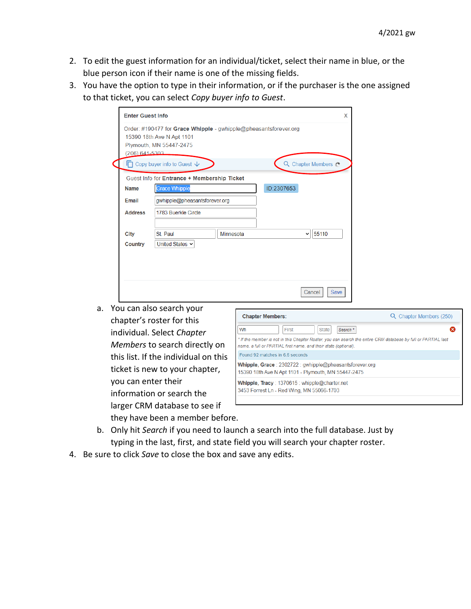- 2. To edit the guest information for an individual/ticket, select their name in blue, or the blue person icon if their name is one of the missing fields.
- 3. You have the option to type in their information, or if the purchaser is the one assigned to that ticket, you can select *Copy buyer info to Guest*.

| <b>Enter Guest Info</b> |                                                                                                                          |           | x                 |
|-------------------------|--------------------------------------------------------------------------------------------------------------------------|-----------|-------------------|
| (206) 641-5303          | Order: #190477 for Grace Whipple - gwhipple@pheasantsforever.org<br>15390 18th Ave N Apt 1101<br>Plymouth, MN 55447-2475 |           |                   |
|                         | $\Box$ Copy buyer info to Guest $\downarrow$                                                                             |           | Q Chapter Members |
|                         | Guest Info for Entrance + Membership Ticket                                                                              |           |                   |
| <b>Name</b>             | <b>Grace Whipple</b>                                                                                                     |           | ID:2307653        |
| Email                   | gwhipple@pheasantsforever.org                                                                                            |           |                   |
| <b>Address</b>          | 1783 Buerkle Circle                                                                                                      |           |                   |
|                         |                                                                                                                          |           |                   |
| <b>City</b>             | St. Paul                                                                                                                 | Minnesota | 55110<br>v        |
| Country                 | United States $\sim$                                                                                                     |           |                   |
|                         |                                                                                                                          |           |                   |
|                         |                                                                                                                          |           |                   |
|                         |                                                                                                                          |           |                   |
|                         |                                                                                                                          |           | Save<br>Cancel    |

a. You can also search your chapter's roster for this individual. Select *Chapter Members* to search directly on this list. If the individual on this ticket is new to your chapter, you can enter their information or search the larger CRM database to see if they have been a member before.

| <b>Chapter Members:</b>                                                                                                                                                          | Chapter Members (250) |
|----------------------------------------------------------------------------------------------------------------------------------------------------------------------------------|-----------------------|
| Wh<br>First<br><b>State</b><br>Search <sup>*</sup>                                                                                                                               |                       |
| * If the member is not in this Chapter Roster, you can search the entire CRM database by full or PARTIAL last<br>name, a full or PARTIAL first name, and their state (optional). |                       |
| Found 92 matches in 6.6 seconds                                                                                                                                                  |                       |
| <b>Whipple, Grace</b> : 2302722: gwhipple@pheasantsforever.org<br>15390 18th Ave N Apt 1101 - Plymouth, MN 55447-2475                                                            |                       |
| Whipple, Tracy: 1370615: whipple@charter.net<br>3453 Forrest Ln - Red Wing, MN 55066-1703                                                                                        |                       |

- b. Only hit *Search* if you need to launch a search into the full database. Just by typing in the last, first, and state field you will search your chapter roster.
- 4. Be sure to click *Save* to close the box and save any edits.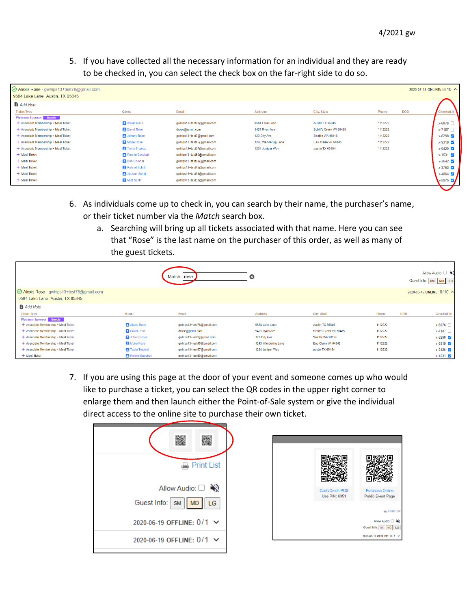5. If you have collected all the necessary information for an individual and they are ready to be checked in, you can select the check box on the far-right side to do so.

| $\odot$ Alexis Rose - gwhips 13+test78@gmail.com |                          |                           |                     |                         |                     | 2020-05-15 ONLINE: 8/10 ^   |
|--------------------------------------------------|--------------------------|---------------------------|---------------------|-------------------------|---------------------|-----------------------------|
| 9584 Lake Lane Austin, TX 65845                  |                          |                           |                     |                         |                     |                             |
| <b>Add Note</b>                                  |                          |                           |                     |                         |                     |                             |
| <b>Ticket Type</b>                               | Guest                    | Email                     | <b>Address</b>      | City, State             | <b>DOB</b><br>Phone | Checked-In                  |
| <b>Platinum Sponsor</b> Bundle                   |                          |                           |                     |                         |                     |                             |
| + Associate Membership + Meal Ticket             | Alexis Rose              | qwhips13+test78@qmail.com | 9584 Lake Lane      | Austin TX 65845         | 1112222             | $x-6076$                    |
| + Associate Membership + Meal Ticket             | <b>El</b> David Rose     | drose@gmail.com           | 5421 Ryan Ave       | Schitt's Creek WI 56485 | 1112222             | x-7187 □                    |
| + Associate Membership + Meal Ticket             | <b>El</b> Johnny Rose    | gwhips13+test3@gmail.com  | 123 City Ave        | Seattle WA 98118        | 1112222             | $x-8298$                    |
| + Associate Membership + Meal Ticket             | Moira Rose               | gwhips13+test45@gmail.com | 1243 Wandering Lane | Eau Claire WI 64845     | 1112222             | $x - 9319$                  |
| + Associate Membership + Meal Ticket             | <b>El</b> Twyla Tropical | gwhips13+test67@gmail.com | 1234 Juniper Way    | austin TX 65154         | 1112222             | $x-0420$                    |
| + Meal Ticket                                    | Ronnie Baseball          | gwhips13+test69@gmail.com |                     |                         |                     | $x - 1531$ $\triangleright$ |
| + Meal Ticket                                    | <b>Bob Brunner</b>       | gwhips13+test09@gmail.com |                     |                         |                     | $x-2642$                    |
| + Meal Ticket                                    | Roland Schitt            | gwhips13+test45@gmail.com |                     |                         |                     | $x-3753$                    |
| + Meal Ticket                                    | <b>E</b> Joclynn Schitt  | gwhips13+test33@gmail.com |                     |                         |                     | $x-4864$                    |
| + Meal Ticket                                    | Mutt Schitt              | gwhips13+test35@gmail.com |                     |                         |                     | x-5975 V                    |

- 6. As individuals come up to check in, you can search by their name, the purchaser's name, or their ticket number via the *Match* search box.
	- a. Searching will bring up all tickets associated with that name. Here you can see that "Rose" is the last name on the purchaser of this order, as well as many of the guest tickets.

|                                                                              |                      | Match: rose               | $\boldsymbol{\alpha}$ |                         |         |            | Allow Audio: □<br>MD LG<br>Guest Info:   SM |
|------------------------------------------------------------------------------|----------------------|---------------------------|-----------------------|-------------------------|---------|------------|---------------------------------------------|
| ⊙ Alexis Rose - gwhips13+test78@gmail.com<br>9584 Lake Lane Austin, TX 65845 |                      |                           |                       |                         |         |            | 2020-05-15 ONLINE: 8/10 ^                   |
| <b>Add Note</b>                                                              |                      |                           |                       |                         |         |            |                                             |
| <b>Ticket Type</b>                                                           | Guest                | Email                     | <b>Address</b>        | City, State             | Phone   | <b>DOB</b> | <b>Checked-In</b>                           |
| Platinum Sponsor Bundle                                                      |                      |                           |                       |                         |         |            |                                             |
| + Associate Membership + Meal Ticket                                         | Alexis Rose          | gwhips13+test78@gmail.com | 9584 Lake Lane        | Austin TX 65845         | 1112222 |            | x-6076 □                                    |
| + Associate Membership + Meal Ticket                                         | <b>El</b> David Rose | drose@gmail.com           | 5421 Rvan Ave         | Schitt's Creek WI 56485 | 1112222 |            | x-7187 □                                    |
| + Associate Membership + Meal Ticket                                         | Johnny Rose          | gwhips13+test3@gmail.com  | 123 City Ave          | Seattle WA 98118        | 1112222 |            | x-8298                                      |
| + Associate Membership + Meal Ticket                                         | Moira Rose           | gwhips13+test45@gmail.com | 1243 Wandering Lane   | Eau Claire WI 64845     | 1112222 |            | $x-9319$                                    |
| + Associate Membership + Meal Ticket                                         | Twyla Tropical       | gwhips13+test67@gmail.com | 1234 Juniper Wav      | austin TX 65154         | 1112222 |            | $x-0420$                                    |
| + Meal Ticket                                                                | Ronnie Baseball      | gwhips13+test69@gmail.com |                       |                         |         |            | $x - 1531$ $\sqrt{ }$                       |

7. If you are using this page at the door of your event and someone comes up who would like to purchase a ticket, you can select the QR codes in the upper right corner to enlarge them and then launch either the Point-of-Sale system or give the individual direct access to the online site to purchase their own ticket.

|                                | <b>A</b> Print List |
|--------------------------------|---------------------|
| Allow Audio: □                 |                     |
| Guest Info:   SM   MD   LG     |                     |
| 2020-06-19 OFFLINE: 0/1 $\sim$ |                     |
| 2020-06-19 OFFLINE: 0/1 $\sim$ |                     |